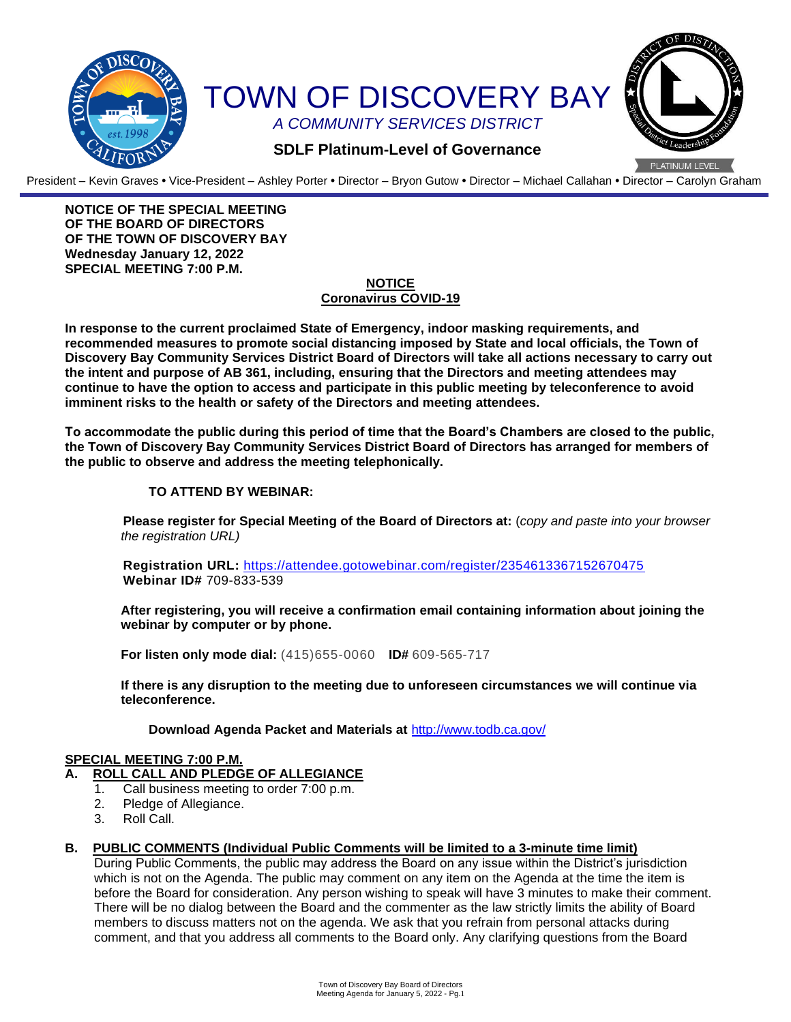

President – Kevin Graves **•** Vice-President – Ashley Porter **•** Director – Bryon Gutow **•** Director – Michael Callahan **•** Director – Carolyn Graham

**NOTICE OF THE SPECIAL MEETING OF THE BOARD OF DIRECTORS OF THE TOWN OF DISCOVERY BAY Wednesday January 12, 2022 SPECIAL MEETING 7:00 P.M.**

## **NOTICE Coronavirus COVID-19**

**In response to the current proclaimed State of Emergency, indoor masking requirements, and recommended measures to promote social distancing imposed by State and local officials, the Town of Discovery Bay Community Services District Board of Directors will take all actions necessary to carry out the intent and purpose of AB 361, including, ensuring that the Directors and meeting attendees may continue to have the option to access and participate in this public meeting by teleconference to avoid imminent risks to the health or safety of the Directors and meeting attendees.**

**To accommodate the public during this period of time that the Board's Chambers are closed to the public, the Town of Discovery Bay Community Services District Board of Directors has arranged for members of the public to observe and address the meeting telephonically.** 

## **TO ATTEND BY WEBINAR:**

**Please register for Special Meeting of the Board of Directors at:** (*copy and paste into your browser the registration URL)*

**Registration URL:** <https://attendee.gotowebinar.com/register/2354613367152670475> **Webinar ID#** 709-833-539

**After registering, you will receive a confirmation email containing information about joining the webinar by computer or by phone.**

**For listen only mode dial:** (415)655-0060 **ID#** 609-565-717

**If there is any disruption to the meeting due to unforeseen circumstances we will continue via teleconference.**

**Download Agenda Packet and Materials at** http:/[/www.todb.ca.gov/](http://www.todb.ca.gov/)

#### **SPECIAL MEETING 7:00 P.M.**

### **A. ROLL CALL AND PLEDGE OF ALLEGIANCE**

- 1. Call business meeting to order 7:00 p.m.
- 2. Pledge of Allegiance.
- 3. Roll Call.

#### **B. PUBLIC COMMENTS (Individual Public Comments will be limited to a 3-minute time limit)**

During Public Comments, the public may address the Board on any issue within the District's jurisdiction which is not on the Agenda. The public may comment on any item on the Agenda at the time the item is before the Board for consideration. Any person wishing to speak will have 3 minutes to make their comment. There will be no dialog between the Board and the commenter as the law strictly limits the ability of Board members to discuss matters not on the agenda. We ask that you refrain from personal attacks during comment, and that you address all comments to the Board only. Any clarifying questions from the Board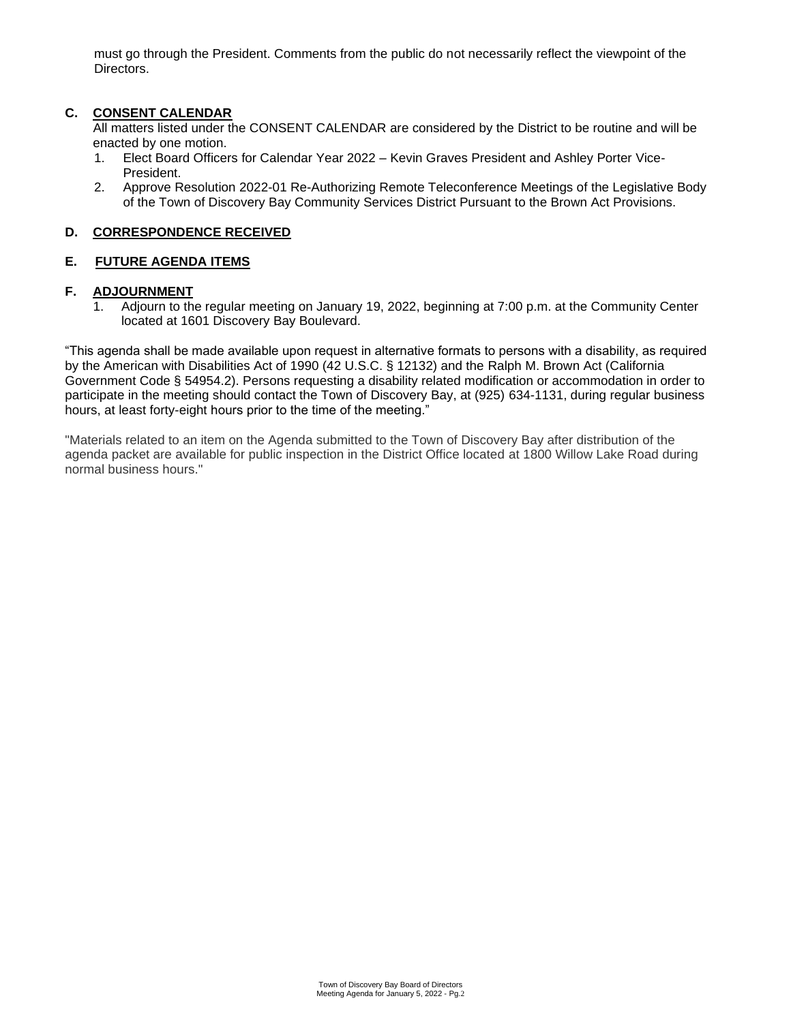must go through the President. Comments from the public do not necessarily reflect the viewpoint of the Directors.

## **C. CONSENT CALENDAR**

All matters listed under the CONSENT CALENDAR are considered by the District to be routine and will be enacted by one motion.

- 1. Elect Board Officers for Calendar Year 2022 Kevin Graves President and Ashley Porter Vice-President.
- 2. Approve Resolution 2022-01 Re-Authorizing Remote Teleconference Meetings of the Legislative Body of the Town of Discovery Bay Community Services District Pursuant to the Brown Act Provisions.

### **D. CORRESPONDENCE RECEIVED**

### **E. FUTURE AGENDA ITEMS**

## **F. ADJOURNMENT**

1. Adjourn to the regular meeting on January 19, 2022, beginning at 7:00 p.m. at the Community Center located at 1601 Discovery Bay Boulevard.

"This agenda shall be made available upon request in alternative formats to persons with a disability, as required by the American with Disabilities Act of 1990 (42 U.S.C. § 12132) and the Ralph M. Brown Act (California Government Code § 54954.2). Persons requesting a disability related modification or accommodation in order to participate in the meeting should contact the Town of Discovery Bay, at (925) 634-1131, during regular business hours, at least forty-eight hours prior to the time of the meeting."

"Materials related to an item on the Agenda submitted to the Town of Discovery Bay after distribution of the agenda packet are available for public inspection in the District Office located at 1800 Willow Lake Road during normal business hours."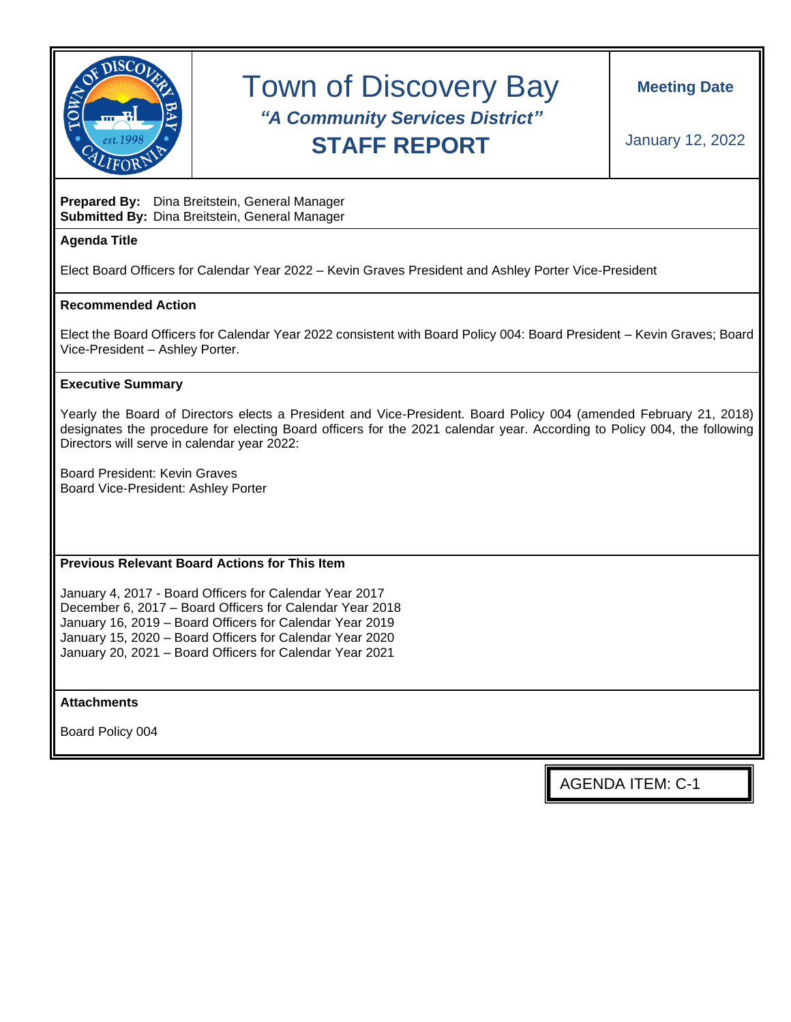

# Town of Discovery Bay *"A Community Services District"* **STAFF REPORT**

## **Prepared By:** Dina Breitstein, General Manager **Submitted By:** Dina Breitstein, General Manager

# **Agenda Title**

Elect Board Officers for Calendar Year 2022 – Kevin Graves President and Ashley Porter Vice-President

## **Recommended Action**

Elect the Board Officers for Calendar Year 2022 consistent with Board Policy 004: Board President – Kevin Graves; Board Vice-President – Ashley Porter.

### **Executive Summary**

Yearly the Board of Directors elects a President and Vice-President. Board Policy 004 (amended February 21, 2018) designates the procedure for electing Board officers for the 2021 calendar year. According to Policy 004, the following Directors will serve in calendar year 2022:

Board President: Kevin Graves Board Vice-President: Ashley Porter

## **Previous Relevant Board Actions for This Item**

January 4, 2017 - Board Officers for Calendar Year 2017 December 6, 2017 – Board Officers for Calendar Year 2018 January 16, 2019 – Board Officers for Calendar Year 2019 January 15, 2020 – Board Officers for Calendar Year 2020 January 20, 2021 – Board Officers for Calendar Year 2021

**Attachments**

Board Policy 004

AGENDA ITEM: C-1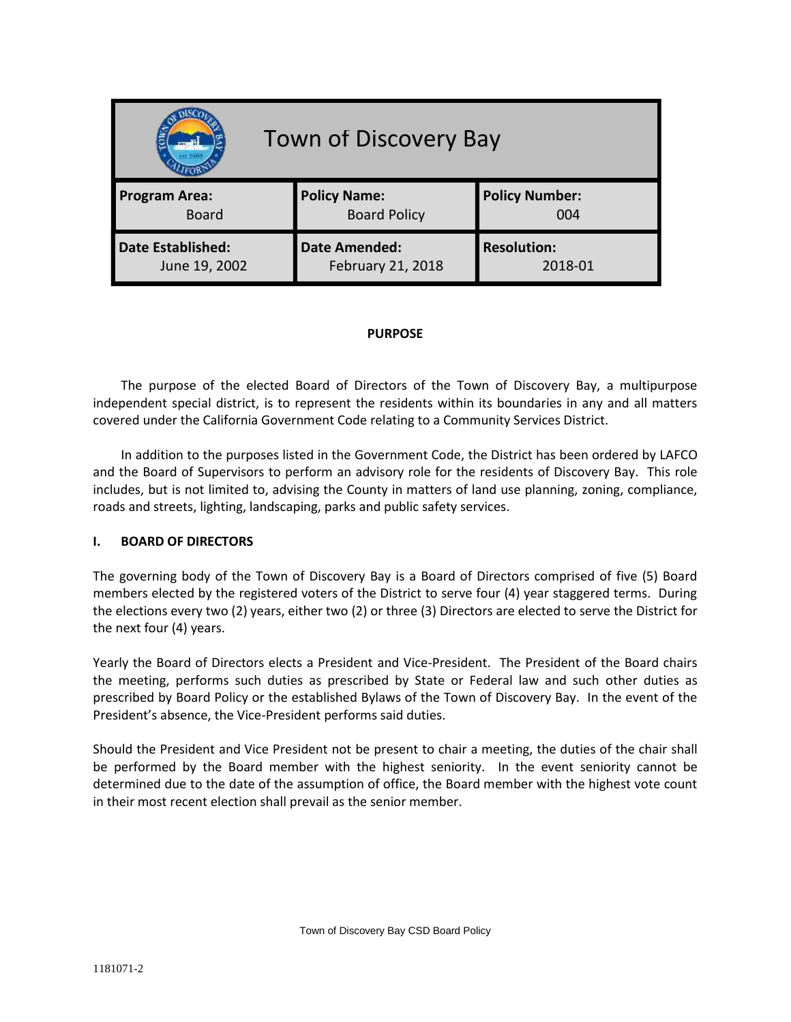| <b>Town of Discovery Bay</b> |                      |                       |
|------------------------------|----------------------|-----------------------|
| <b>Program Area:</b>         | <b>Policy Name:</b>  | <b>Policy Number:</b> |
| <b>Board</b>                 | <b>Board Policy</b>  | 004                   |
| Date Established:            | <b>Date Amended:</b> | <b>Resolution:</b>    |
| June 19, 2002                | February 21, 2018    | 2018-01               |

### **PURPOSE**

The purpose of the elected Board of Directors of the Town of Discovery Bay, a multipurpose independent special district, is to represent the residents within its boundaries in any and all matters covered under the California Government Code relating to a Community Services District.

In addition to the purposes listed in the Government Code, the District has been ordered by LAFCO and the Board of Supervisors to perform an advisory role for the residents of Discovery Bay. This role includes, but is not limited to, advising the County in matters of land use planning, zoning, compliance, roads and streets, lighting, landscaping, parks and public safety services.

## **I. BOARD OF DIRECTORS**

The governing body of the Town of Discovery Bay is a Board of Directors comprised of five (5) Board members elected by the registered voters of the District to serve four (4) year staggered terms. During the elections every two (2) years, either two (2) or three (3) Directors are elected to serve the District for the next four (4) years.

Yearly the Board of Directors elects a President and Vice-President. The President of the Board chairs the meeting, performs such duties as prescribed by State or Federal law and such other duties as prescribed by Board Policy or the established Bylaws of the Town of Discovery Bay. In the event of the President's absence, the Vice-President performs said duties.

Should the President and Vice President not be present to chair a meeting, the duties of the chair shall be performed by the Board member with the highest seniority. In the event seniority cannot be determined due to the date of the assumption of office, the Board member with the highest vote count in their most recent election shall prevail as the senior member.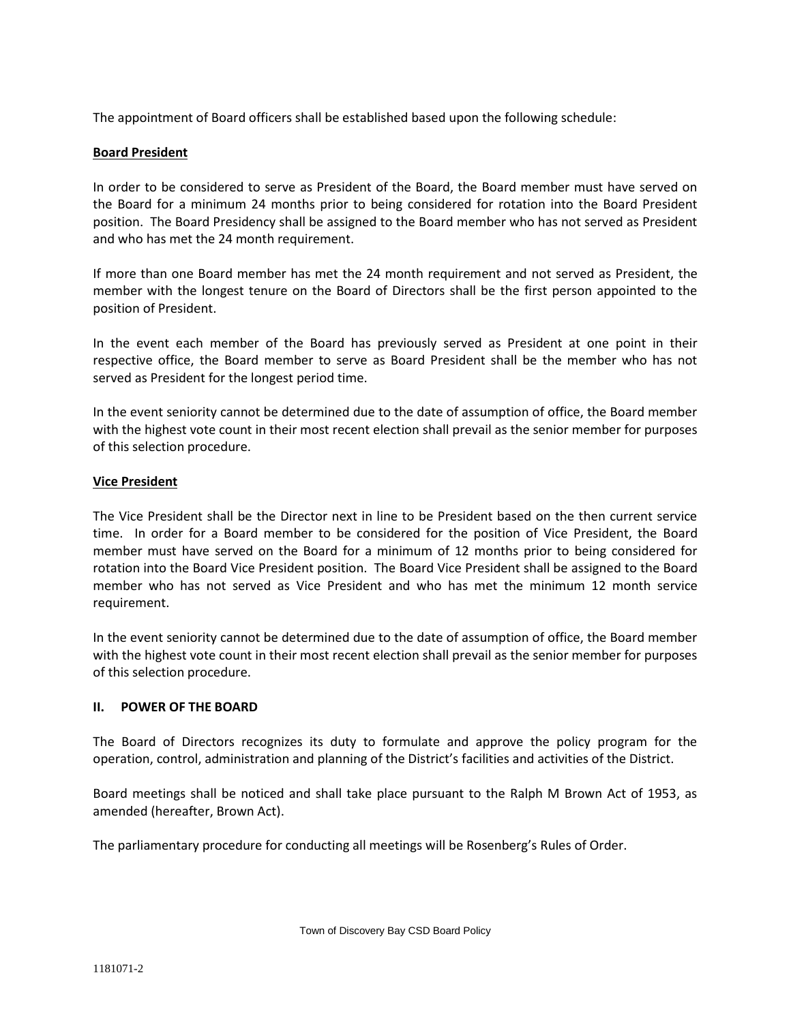The appointment of Board officers shall be established based upon the following schedule:

## **Board President**

In order to be considered to serve as President of the Board, the Board member must have served on the Board for a minimum 24 months prior to being considered for rotation into the Board President position. The Board Presidency shall be assigned to the Board member who has not served as President and who has met the 24 month requirement.

If more than one Board member has met the 24 month requirement and not served as President, the member with the longest tenure on the Board of Directors shall be the first person appointed to the position of President.

In the event each member of the Board has previously served as President at one point in their respective office, the Board member to serve as Board President shall be the member who has not served as President for the longest period time.

In the event seniority cannot be determined due to the date of assumption of office, the Board member with the highest vote count in their most recent election shall prevail as the senior member for purposes of this selection procedure.

## **Vice President**

The Vice President shall be the Director next in line to be President based on the then current service time. In order for a Board member to be considered for the position of Vice President, the Board member must have served on the Board for a minimum of 12 months prior to being considered for rotation into the Board Vice President position. The Board Vice President shall be assigned to the Board member who has not served as Vice President and who has met the minimum 12 month service requirement.

In the event seniority cannot be determined due to the date of assumption of office, the Board member with the highest vote count in their most recent election shall prevail as the senior member for purposes of this selection procedure.

## **II. POWER OF THE BOARD**

The Board of Directors recognizes its duty to formulate and approve the policy program for the operation, control, administration and planning of the District's facilities and activities of the District.

Board meetings shall be noticed and shall take place pursuant to the Ralph M Brown Act of 1953, as amended (hereafter, Brown Act).

The parliamentary procedure for conducting all meetings will be Rosenberg's Rules of Order.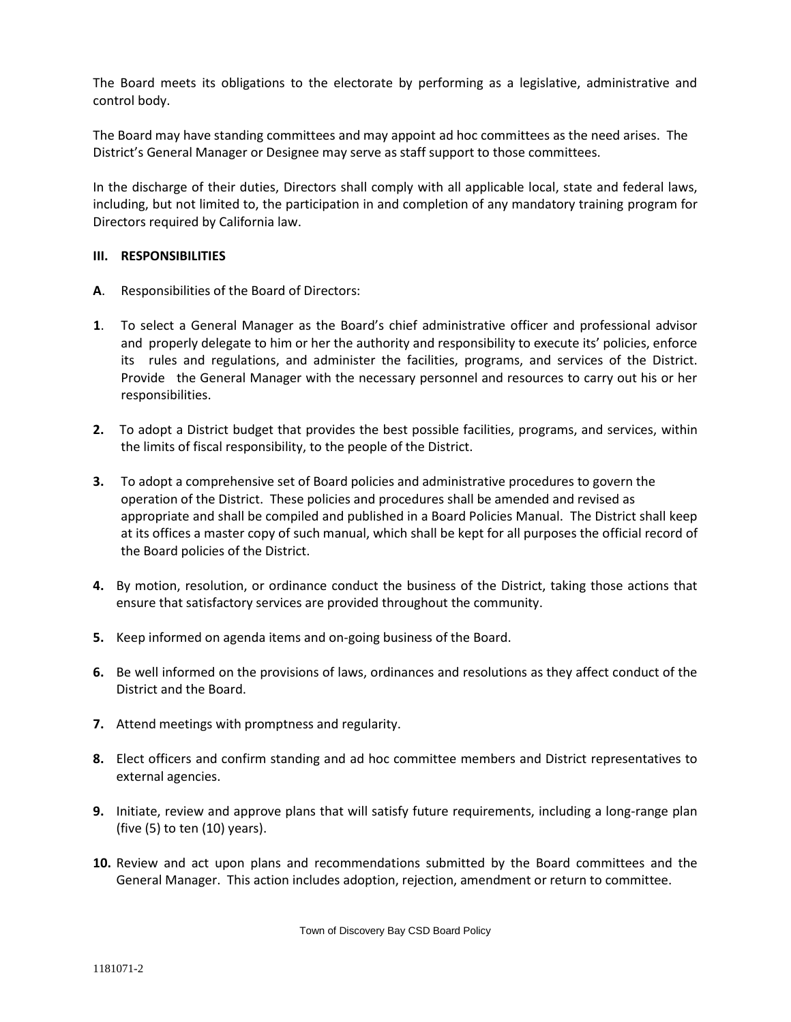The Board meets its obligations to the electorate by performing as a legislative, administrative and control body.

The Board may have standing committees and may appoint ad hoc committees as the need arises. The District's General Manager or Designee may serve as staff support to those committees.

In the discharge of their duties, Directors shall comply with all applicable local, state and federal laws, including, but not limited to, the participation in and completion of any mandatory training program for Directors required by California law.

### **III. RESPONSIBILITIES**

- **A**. Responsibilities of the Board of Directors:
- **1**. To select a General Manager as the Board's chief administrative officer and professional advisor and properly delegate to him or her the authority and responsibility to execute its' policies, enforce its rules and regulations, and administer the facilities, programs, and services of the District. Provide the General Manager with the necessary personnel and resources to carry out his or her responsibilities.
- **2.** To adopt a District budget that provides the best possible facilities, programs, and services, within the limits of fiscal responsibility, to the people of the District.
- **3.** To adopt a comprehensive set of Board policies and administrative procedures to govern the operation of the District. These policies and procedures shall be amended and revised as appropriate and shall be compiled and published in a Board Policies Manual. The District shall keep at its offices a master copy of such manual, which shall be kept for all purposes the official record of the Board policies of the District.
- **4.** By motion, resolution, or ordinance conduct the business of the District, taking those actions that ensure that satisfactory services are provided throughout the community.
- **5.** Keep informed on agenda items and on-going business of the Board.
- **6.** Be well informed on the provisions of laws, ordinances and resolutions as they affect conduct of the District and the Board.
- **7.** Attend meetings with promptness and regularity.
- **8.** Elect officers and confirm standing and ad hoc committee members and District representatives to external agencies.
- **9.** Initiate, review and approve plans that will satisfy future requirements, including a long-range plan (five (5) to ten (10) years).
- **10.** Review and act upon plans and recommendations submitted by the Board committees and the General Manager. This action includes adoption, rejection, amendment or return to committee.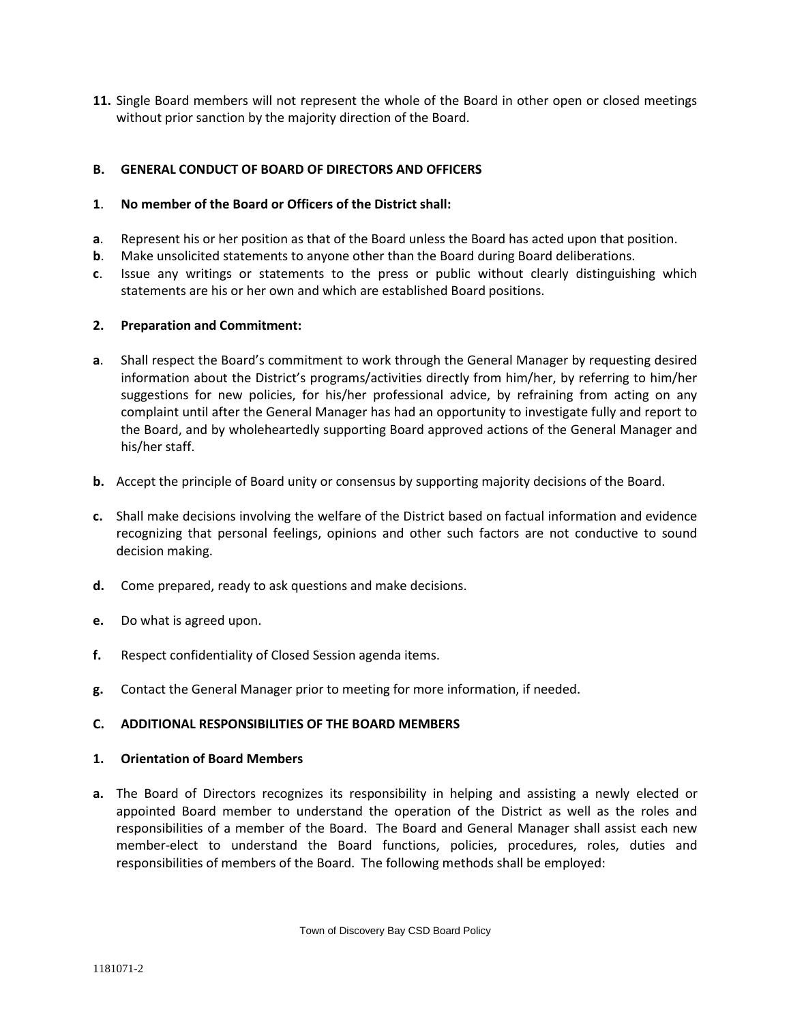**11.** Single Board members will not represent the whole of the Board in other open or closed meetings without prior sanction by the majority direction of the Board.

# **B. GENERAL CONDUCT OF BOARD OF DIRECTORS AND OFFICERS**

## **1**. **No member of the Board or Officers of the District shall:**

- **a**. Represent his or her position as that of the Board unless the Board has acted upon that position.
- **b.** Make unsolicited statements to anyone other than the Board during Board deliberations.
- **c**. Issue any writings or statements to the press or public without clearly distinguishing which statements are his or her own and which are established Board positions.

### **2. Preparation and Commitment:**

- **a**. Shall respect the Board's commitment to work through the General Manager by requesting desired information about the District's programs/activities directly from him/her, by referring to him/her suggestions for new policies, for his/her professional advice, by refraining from acting on any complaint until after the General Manager has had an opportunity to investigate fully and report to the Board, and by wholeheartedly supporting Board approved actions of the General Manager and his/her staff.
- **b.** Accept the principle of Board unity or consensus by supporting majority decisions of the Board.
- **c.** Shall make decisions involving the welfare of the District based on factual information and evidence recognizing that personal feelings, opinions and other such factors are not conductive to sound decision making.
- **d.** Come prepared, ready to ask questions and make decisions.
- **e.** Do what is agreed upon.
- **f.** Respect confidentiality of Closed Session agenda items.
- **g.** Contact the General Manager prior to meeting for more information, if needed.

#### **C. ADDITIONAL RESPONSIBILITIES OF THE BOARD MEMBERS**

#### **1. Orientation of Board Members**

**a.** The Board of Directors recognizes its responsibility in helping and assisting a newly elected or appointed Board member to understand the operation of the District as well as the roles and responsibilities of a member of the Board. The Board and General Manager shall assist each new member-elect to understand the Board functions, policies, procedures, roles, duties and responsibilities of members of the Board. The following methods shall be employed: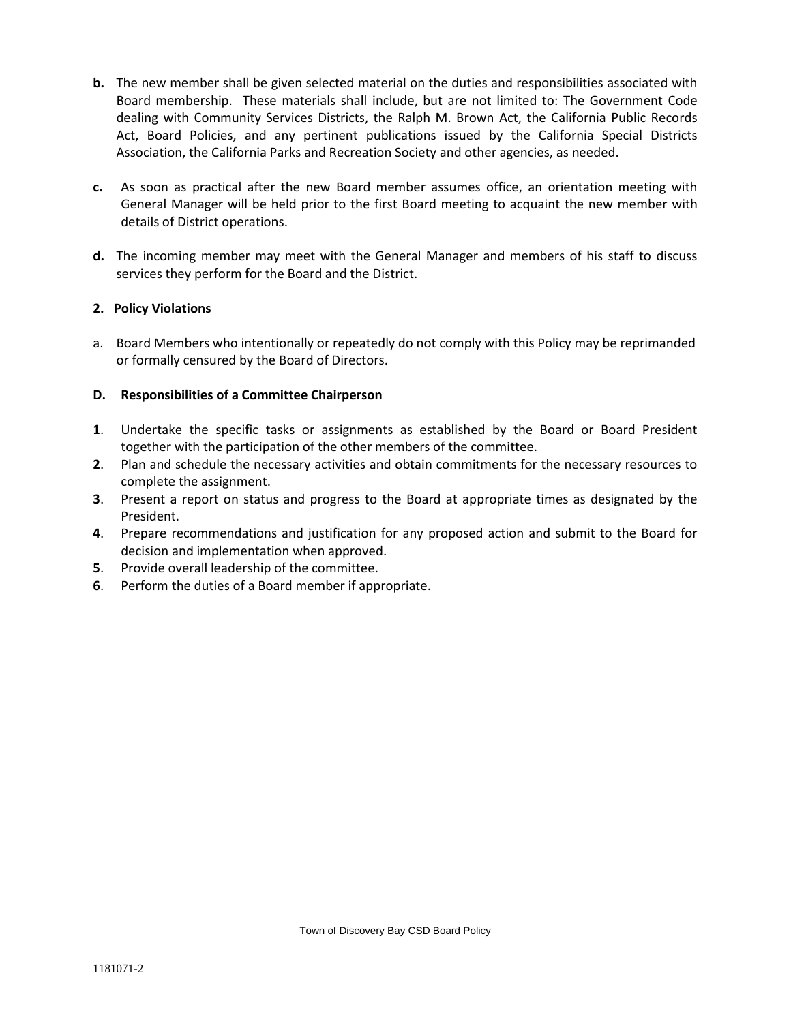- **b.** The new member shall be given selected material on the duties and responsibilities associated with Board membership. These materials shall include, but are not limited to: The Government Code dealing with Community Services Districts, the Ralph M. Brown Act, the California Public Records Act, Board Policies, and any pertinent publications issued by the California Special Districts Association, the California Parks and Recreation Society and other agencies, as needed.
- **c.** As soon as practical after the new Board member assumes office, an orientation meeting with General Manager will be held prior to the first Board meeting to acquaint the new member with details of District operations.
- **d.** The incoming member may meet with the General Manager and members of his staff to discuss services they perform for the Board and the District.

# **2. Policy Violations**

a. Board Members who intentionally or repeatedly do not comply with this Policy may be reprimanded or formally censured by the Board of Directors.

# **D. Responsibilities of a Committee Chairperson**

- **1**. Undertake the specific tasks or assignments as established by the Board or Board President together with the participation of the other members of the committee.
- **2**. Plan and schedule the necessary activities and obtain commitments for the necessary resources to complete the assignment.
- **3**. Present a report on status and progress to the Board at appropriate times as designated by the President.
- **4**. Prepare recommendations and justification for any proposed action and submit to the Board for decision and implementation when approved.
- **5**. Provide overall leadership of the committee.
- **6**. Perform the duties of a Board member if appropriate.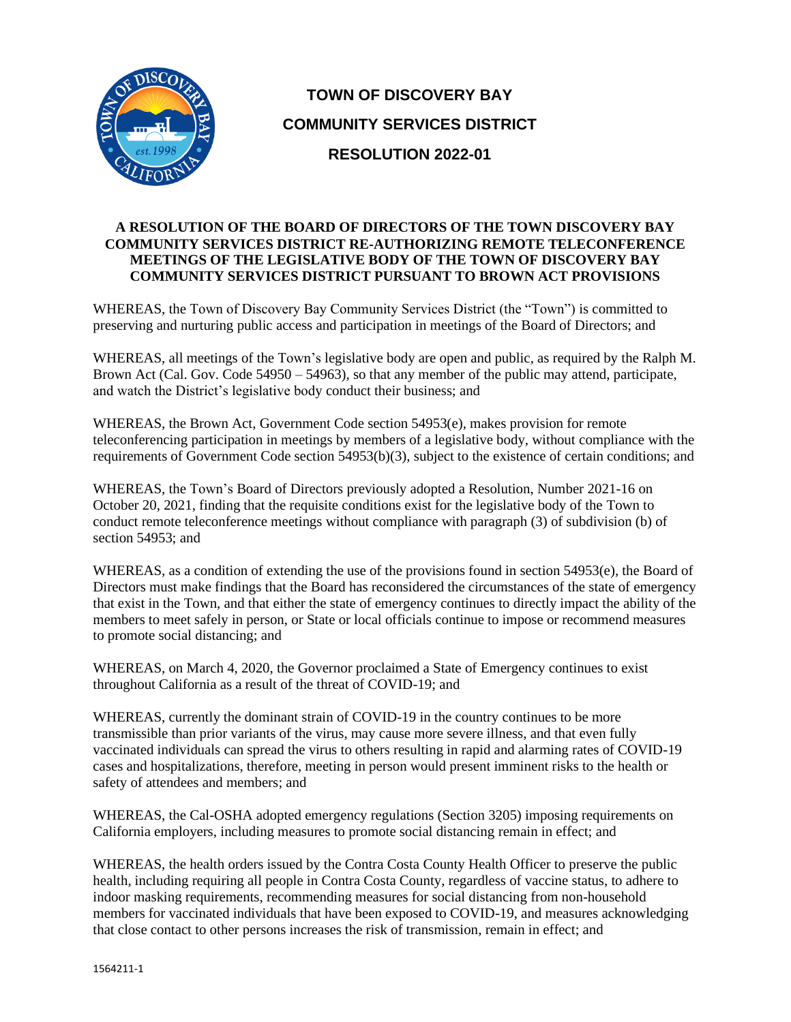

# **TOWN OF DISCOVERY BAY COMMUNITY SERVICES DISTRICT RESOLUTION 2022-01**

# **A RESOLUTION OF THE BOARD OF DIRECTORS OF THE TOWN DISCOVERY BAY COMMUNITY SERVICES DISTRICT RE-AUTHORIZING REMOTE TELECONFERENCE MEETINGS OF THE LEGISLATIVE BODY OF THE TOWN OF DISCOVERY BAY COMMUNITY SERVICES DISTRICT PURSUANT TO BROWN ACT PROVISIONS**

WHEREAS, the Town of Discovery Bay Community Services District (the "Town") is committed to preserving and nurturing public access and participation in meetings of the Board of Directors; and

WHEREAS, all meetings of the Town's legislative body are open and public, as required by the Ralph M. Brown Act (Cal. Gov. Code 54950 – 54963), so that any member of the public may attend, participate, and watch the District's legislative body conduct their business; and

WHEREAS, the Brown Act, Government Code section 54953(e), makes provision for remote teleconferencing participation in meetings by members of a legislative body, without compliance with the requirements of Government Code section 54953(b)(3), subject to the existence of certain conditions; and

WHEREAS, the Town's Board of Directors previously adopted a Resolution, Number 2021-16 on October 20, 2021, finding that the requisite conditions exist for the legislative body of the Town to conduct remote teleconference meetings without compliance with paragraph (3) of subdivision (b) of section 54953; and

WHEREAS, as a condition of extending the use of the provisions found in section 54953(e), the Board of Directors must make findings that the Board has reconsidered the circumstances of the state of emergency that exist in the Town, and that either the state of emergency continues to directly impact the ability of the members to meet safely in person, or State or local officials continue to impose or recommend measures to promote social distancing; and

WHEREAS, on March 4, 2020, the Governor proclaimed a State of Emergency continues to exist throughout California as a result of the threat of COVID-19; and

WHEREAS, currently the dominant strain of COVID-19 in the country continues to be more transmissible than prior variants of the virus, may cause more severe illness, and that even fully vaccinated individuals can spread the virus to others resulting in rapid and alarming rates of COVID-19 cases and hospitalizations, therefore, meeting in person would present imminent risks to the health or safety of attendees and members; and

WHEREAS, the Cal-OSHA adopted emergency regulations (Section 3205) imposing requirements on California employers, including measures to promote social distancing remain in effect; and

WHEREAS, the health orders issued by the Contra Costa County Health Officer to preserve the public health, including requiring all people in Contra Costa County, regardless of vaccine status, to adhere to indoor masking requirements, recommending measures for social distancing from non-household members for vaccinated individuals that have been exposed to COVID-19, and measures acknowledging that close contact to other persons increases the risk of transmission, remain in effect; and